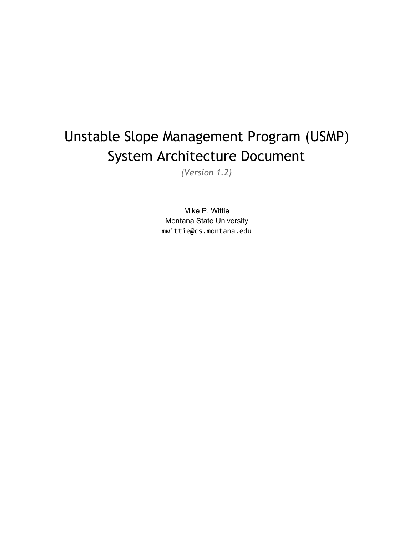# Unstable Slope Management Program (USMP) System Architecture Document

*(Version 1.2)*

Mike P. Wittie Montana State University mwittie@cs.montana.edu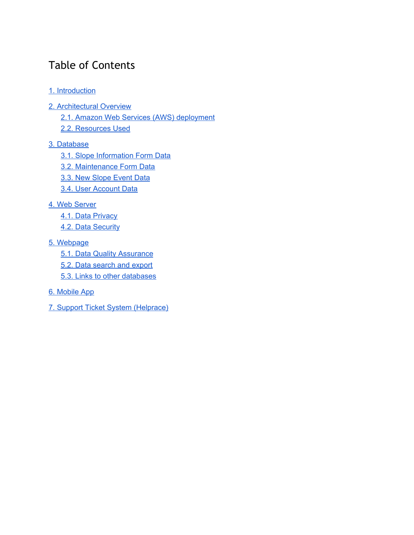# Table of Contents

- 1. [Introduction](#page-2-0)
- 2. [Architectural](#page-2-1) Overview
	- 2.1. Amazon Web Services (AWS) [deployment](#page-2-2)
	- 2.2. [Resources](#page-2-3) Used

#### 3. [Database](#page-3-0)

- 3.1. Slope [Information](#page-3-1) Form Data
- 3.2. [Maintenance](#page-5-0) Form Data
- 3.3. New [Slope](#page-5-1) Event Data
- 3.4. User [Account](#page-6-0) Data

#### 4. Web [Server](#page-9-0)

- 4.1. Data [Privacy](#page-11-0)
- 4.2. Data [Security](#page-11-1)

#### 5. [Webpage](#page-12-0)

- 5.1. Data Quality [Assurance](#page-15-0)
- 5.2. Data [search](#page-15-1) and export
- 5.3. Links to other [databases](#page-16-0)

#### 6. [Mobile](#page-16-1) App

7. Support Ticket System [\(Helprace\)](#page-18-0)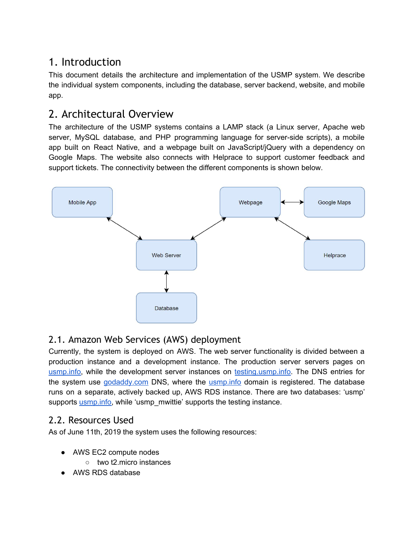# <span id="page-2-0"></span>1. Introduction

This document details the architecture and implementation of the USMP system. We describe the individual system components, including the database, server backend, website, and mobile app.

# <span id="page-2-1"></span>2. Architectural Overview

The architecture of the USMP systems contains a LAMP stack (a Linux server, Apache web server, MySQL database, and PHP programming language for server-side scripts), a mobile app built on React Native, and a webpage built on JavaScript/jQuery with a dependency on Google Maps. The website also connects with Helprace to support customer feedback and support tickets. The connectivity between the different components is shown below.



### <span id="page-2-2"></span>2.1. Amazon Web Services (AWS) deployment

Currently, the system is deployed on AWS. The web server functionality is divided between a production instance and a development instance. The production server servers pages on [usmp.info,](http://usmp.info/) while the development server instances on [testing.usmp.info](http://testing.usmp.info/). The DNS entries for the system use [godaddy.com](http://godaddy.com/) DNS, where the [usmp.info](http://usmp.info/) domain is registered. The database runs on a separate, actively backed up, AWS RDS instance. There are two databases: 'usmp' supports usmp. info, while 'usmp\_mwittie' supports the testing instance.

### <span id="page-2-3"></span>2.2. Resources Used

As of June 11th, 2019 the system uses the following resources:

- AWS EC2 compute nodes
	- two t2.micro instances
- AWS RDS database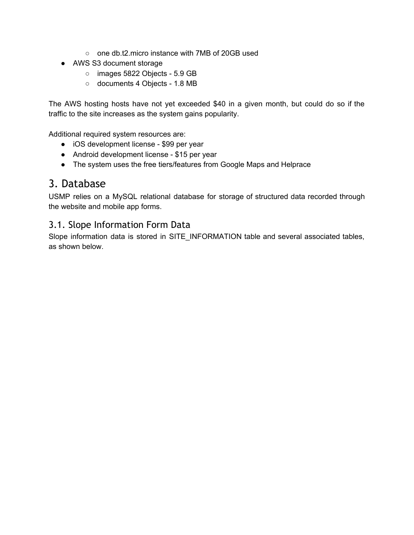- one db.t2.micro instance with 7MB of 20GB used
- AWS S3 document storage
	- images 5822 Objects 5.9 GB
	- documents 4 Objects 1.8 MB

The AWS hosting hosts have not yet exceeded \$40 in a given month, but could do so if the traffic to the site increases as the system gains popularity.

Additional required system resources are:

- iOS development license \$99 per year
- Android development license \$15 per year
- The system uses the free tiers/features from Google Maps and Helprace

### <span id="page-3-0"></span>3. Database

USMP relies on a MySQL relational database for storage of structured data recorded through the website and mobile app forms.

#### <span id="page-3-1"></span>3.1. Slope Information Form Data

Slope information data is stored in SITE\_INFORMATION table and several associated tables, as shown below.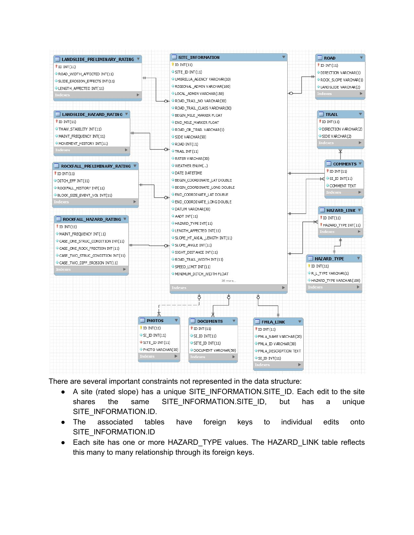

There are several important constraints not represented in the data structure:

- A site (rated slope) has a unique SITE\_INFORMATION.SITE\_ID. Each edit to the site shares the same SITE\_INFORMATION.SITE\_ID, but has a unique SITE\_INFORMATION.ID.
- The associated tables have foreign keys to individual edits onto SITE\_INFORMATION.ID
- Each site has one or more HAZARD\_TYPE values. The HAZARD\_LINK table reflects this many to many relationship through its foreign keys.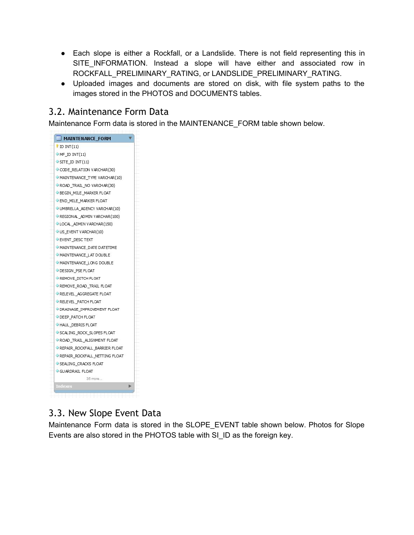- Each slope is either a Rockfall, or a Landslide. There is not field representing this in SITE\_INFORMATION. Instead a slope will have either and associated row in ROCKFALL\_PRELIMINARY\_RATING, or LANDSLIDE\_PRELIMINARY\_RATING.
- Uploaded images and documents are stored on disk, with file system paths to the images stored in the PHOTOS and DOCUMENTS tables.

#### <span id="page-5-0"></span>3.2. Maintenance Form Data

Maintenance Form data is stored in the MAINTENANCE\_FORM table shown below.



#### <span id="page-5-1"></span>3.3. New Slope Event Data

Maintenance Form data is stored in the SLOPE\_EVENT table shown below. Photos for Slope Events are also stored in the PHOTOS table with SI\_ID as the foreign key.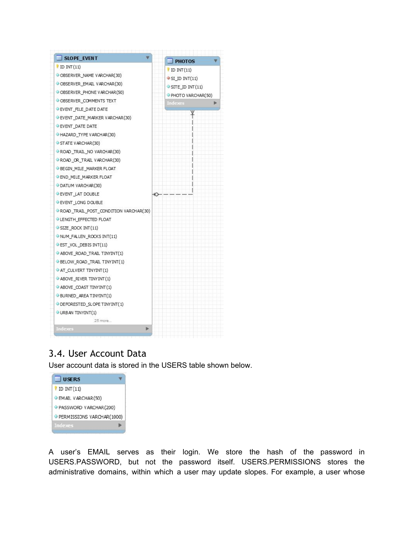| SLOPE EVENT                           | <b>PHOTOS</b>                       |  |
|---------------------------------------|-------------------------------------|--|
| $'$ ID INT $(11)$                     | $'$ ID INT $(11)$                   |  |
| OBSERVER NAME VARCHAR(30)             | $\blacktriangleright$ SI_ID INT(11) |  |
| OBSERVER EMAIL VARCHAR(30)            | $\circ$ SITE ID INT(11)             |  |
| OBSERVER PHONE VARCHAR (50)           | PHOTO VARCHAR(50)                   |  |
| OBSERVER_COMMENTS TEXT                | <b>Indexes</b>                      |  |
| EVENT FILE DATE DATE                  |                                     |  |
| EVENT DATE MARKER VARCHAR(30)         |                                     |  |
| EVENT DATE DATE                       |                                     |  |
| HAZARD TYPE VARCHAR (30)              |                                     |  |
| STATE VARCHAR(30)                     |                                     |  |
| ROAD TRAIL NO VARCHAR(30)             |                                     |  |
| ROAD OR TRAIL VARCHAR (30)            |                                     |  |
| BEGIN MILE MARKER FLOAT               |                                     |  |
| END MILE MARKER FLOAT                 |                                     |  |
| DATUM VARCHAR(30)                     |                                     |  |
| <b>EVENT LAT DOUBLE</b>               | ю                                   |  |
| EVENT LONG DOUBLE                     |                                     |  |
| ROAD TRAIL POST CONDITION VARCHAR(30) |                                     |  |
| LENGTH EFFECTED FLOAT                 |                                     |  |
| $\triangleright$ SIZE ROCK INT (11)   |                                     |  |
| NUM_FALLEN_ROCKS INT(11)              |                                     |  |
| EST VOL DEBIS INT(11)                 |                                     |  |
| ABOVE ROAD TRAIL TINYINT(1)           |                                     |  |
| BELOW ROAD TRAIL TINYINT(1)           |                                     |  |
| AT CULVERT TINYINT (1)                |                                     |  |
| $\triangle$ ABOVE_RIVER TINYINT(1)    |                                     |  |
| $\triangle$ ABOVE_COAST TINY INT (1)  |                                     |  |
| BURNED AREA TINYINT(1)                |                                     |  |
| DEFORESTED SLOPE TINYINT(1)           |                                     |  |
| URBAN TINYINT(1)                      |                                     |  |
| 25 more                               |                                     |  |
| Indexes<br>ь                          |                                     |  |
|                                       |                                     |  |

#### <span id="page-6-0"></span>3.4. User Account Data

User account data is stored in the USERS table shown below.



A user's EMAIL serves as their login. We store the hash of the password in USERS.PASSWORD, but not the password itself. USERS.PERMISSIONS stores the administrative domains, within which a user may update slopes. For example, a user whose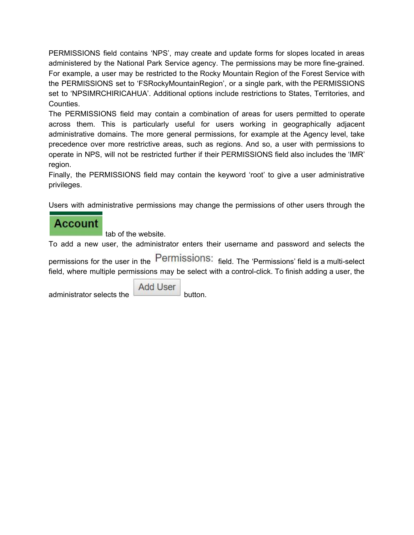PERMISSIONS field contains 'NPS', may create and update forms for slopes located in areas administered by the National Park Service agency. The permissions may be more fine-grained. For example, a user may be restricted to the Rocky Mountain Region of the Forest Service with the PERMISSIONS set to 'FSRockyMountainRegion', or a single park, with the PERMISSIONS set to 'NPSIMRCHIRICAHUA'. Additional options include restrictions to States, Territories, and Counties.

The PERMISSIONS field may contain a combination of areas for users permitted to operate across them. This is particularly useful for users working in geographically adjacent administrative domains. The more general permissions, for example at the Agency level, take precedence over more restrictive areas, such as regions. And so, a user with permissions to operate in NPS, will not be restricted further if their PERMISSIONS field also includes the 'IMR' region.

Finally, the PERMISSIONS field may contain the keyword 'root' to give a user administrative privileges.

Users with administrative permissions may change the permissions of other users through the

### **Account**

tab of the website.

To add a new user, the administrator enters their username and password and selects the

permissions for the user in the Permissions: field. The 'Permissions' field is a multi-select field, where multiple permissions may be select with a control-click. To finish adding a user, the

administrator selects the

**Add User**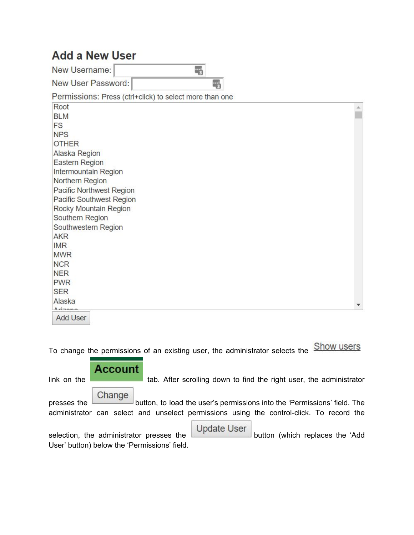# **Add a New User**

New Username:  $\frac{1}{2}$ 

New User Password: 冊 Permissions: Press (ctrl+click) to select more than one Root × **BLM** FS **NPS OTHER** Alaska Region Eastern Region Intermountain Region Northern Region **Pacific Northwest Region** Pacific Southwest Region Rocky Mountain Region Southern Region Southwestern Region **AKR IMR MWR NCR NER PWR SER** Alaska  $A - A$ **Add User** 

To change the permissions of an existing user, the administrator selects the **Show users** 



User' button) below the 'Permissions' field.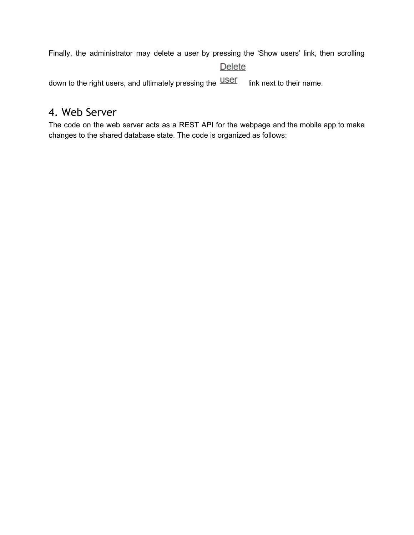Finally, the administrator may delete a user by pressing the 'Show users' link, then scrolling

#### Delete

down to the right users, and ultimately pressing the **USET** link next to their name.

### <span id="page-9-0"></span>4. Web Server

The code on the web server acts as a REST API for the webpage and the mobile app to make changes to the shared database state. The code is organized as follows: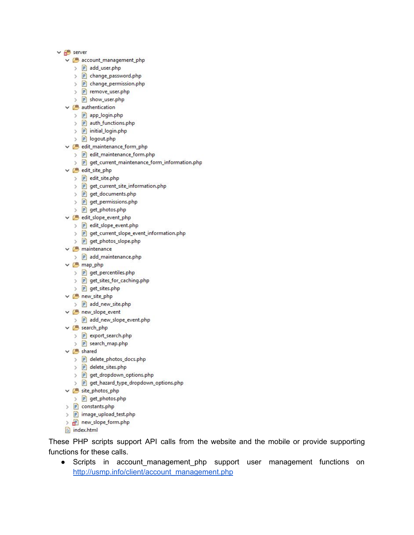- $\vee$   $\frac{1}{2}$  server
	- ↓ <mark>悪 account\_management\_php</mark>
		- > P add\_user.php
		- > P change\_password.php
		- > P change\_permission.php
		- > P remove\_user.php
		- > P show\_user.php
	- $\times$   $\overline{B}$  authentication
		- > P app\_login.php
		- > P auth\_functions.php
		- > P initial\_login.php
		- > P logout.php
	- ↓ <mark>● edit\_maintenance\_form\_php</mark>
		- > P edit\_maintenance\_form.php
		- > P get\_current\_maintenance\_form\_information.php
	- ↓ <mark>● edit\_site\_php</mark>
		- > P edit\_site.php
		- > P get\_current\_site\_information.php
		- > P get\_documents.php
		- > P get\_permissions.php
		- > P get\_photos.php
	- v B edit\_slope\_event\_php
		- > P edit\_slope\_event.php
		- > P get\_current\_slope\_event\_information.php
		- > P get\_photos\_slope.php
	- $\vee$   $\overline{B}$  maintenance
		- > P add\_maintenance.php
	- $\times$   $\overline{B}$  map\_php
		- > P get\_percentiles.php
		- > P get\_sites\_for\_caching.php
		- > P get\_sites.php
	- ▽ <sup>■</sup> new\_site\_php
		- > P add\_new\_site.php
	- ↓ <mark>→ new\_slope\_event</mark>
		- > P add\_new\_slope\_event.php
	- ↓ <mark>● search\_php</mark>
		- > P export\_search.php
		- > P search\_map.php
	- $\times$   $\times$  shared
		- > P delete\_photos\_docs.php
		- > P delete\_sites.php
		- > P get\_dropdown\_options.php
		- > P get\_hazard\_type\_dropdown\_options.php
	- ↓ site\_photos\_php
		- > P get\_photos.php
	- > P constants.php
	- > P image\_upload\_test.php
	- > P new\_slope\_form.php
	- index.html

These PHP scripts support API calls from the website and the mobile or provide supporting functions for these calls.

● Scripts in account\_management\_php support user management functions on [http://usmp.info/client/account\\_management.php](http://usmp.info/client/account_management.php)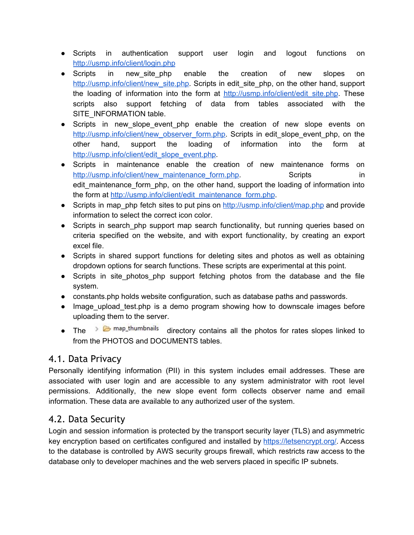- Scripts in authentication support user login and logout functions on <http://usmp.info/client/login.php>
- Scripts in new site\_php enable the creation of new slopes on http://usmp.info/client/new site.php. Scripts in edit site php, on the other hand, support the loading of information into the form at http://usmp.info/client/edit site.php. These scripts also support fetching of data from tables associated with the SITE\_INFORMATION table.
- Scripts in new slope event php enable the creation of new slope events on [http://usmp.info/client/new\\_observer\\_form.php.](http://usmp.info/client/new_observer_form.php) Scripts in edit\_slope\_event\_php, on the other hand, support the loading of information into the form at [http://usmp.info/client/edit\\_slope\\_event.php.](http://usmp.info/client/edit_slope_event.php)
- Scripts in maintenance enable the creation of new maintenance forms on [http://usmp.info/client/new\\_maintenance\\_form.php.](http://usmp.info/client/new_maintenance_form.php) Scripts Scripts in edit maintenance form php, on the other hand, support the loading of information into the form at [http://usmp.info/client/edit\\_maintenance\\_form.php](http://usmp.info/client/edit_maintenance_form.php).
- Scripts in map php fetch sites to put pins on <http://usmp.info/client/map.php> and provide information to select the correct icon color.
- Scripts in search php support map search functionality, but running queries based on criteria specified on the website, and with export functionality, by creating an export excel file.
- Scripts in shared support functions for deleting sites and photos as well as obtaining dropdown options for search functions. These scripts are experimental at this point.
- Scripts in site photos php support fetching photos from the database and the file system.
- constants.php holds website configuration, such as database paths and passwords.
- Image upload test.php is a demo program showing how to downscale images before uploading them to the server.
- The  $\geq$   $\bullet$  map\_thumbnails directory contains all the photos for rates slopes linked to from the PHOTOS and DOCUMENTS tables.

#### <span id="page-11-0"></span>4.1. Data Privacy

Personally identifying information (PII) in this system includes email addresses. These are associated with user login and are accessible to any system administrator with root level permissions. Additionally, the new slope event form collects observer name and email information. These data are available to any authorized user of the system.

#### <span id="page-11-1"></span>4.2. Data Security

Login and session information is protected by the transport security layer (TLS) and asymmetric key encryption based on certificates configured and installed by [https://letsencrypt.org/.](https://letsencrypt.org/) Access to the database is controlled by AWS security groups firewall, which restricts raw access to the database only to developer machines and the web servers placed in specific IP subnets.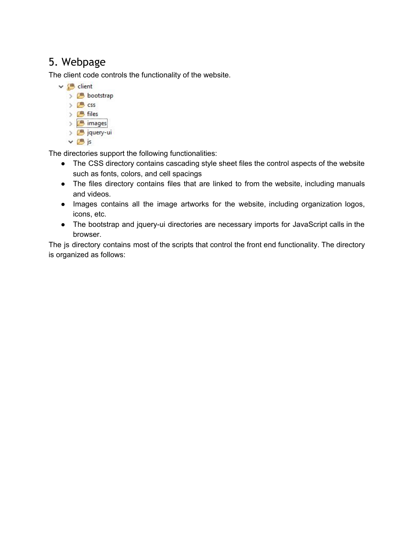# <span id="page-12-0"></span>5. Webpage

The client code controls the functionality of the website.

 $\times$   $\overset{\text{\tiny{43}}}{\rightarrow}$  client > <mark>( bootstrap</mark> > 四 css > 四 files > <mark>( )</mark> images > 四 jquery-ui ▼唐js

The directories support the following functionalities:

- The CSS directory contains cascading style sheet files the control aspects of the website such as fonts, colors, and cell spacings
- The files directory contains files that are linked to from the website, including manuals and videos.
- Images contains all the image artworks for the website, including organization logos, icons, etc.
- The bootstrap and jquery-ui directories are necessary imports for JavaScript calls in the browser.

The js directory contains most of the scripts that control the front end functionality. The directory is organized as follows: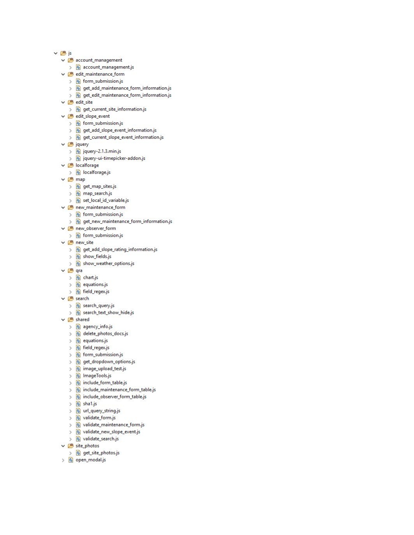- ∨巴js
	- ↓ <mark>→ account\_management</mark>
	- > B account\_management.js
	- v & edit\_maintenance\_form
		- > B form\_submission.js
		- > 图 get\_add\_maintenance\_form\_information.js
		- > 图 get\_edit\_maintenance\_form\_information.js
	- $\vee$   $\overline{B}$  edit\_site
		- > 图 get\_current\_site\_information.js
	- ▽ <sup>悪</sup> edit\_slope\_event
		- > B form\_submission.js
		- > B get\_add\_slope\_event\_information.js
		- > 图 get\_current\_slope\_event\_information.js
	- $\vee$   $\overline{B}$  jquery
		- $\angle$  <sup>4</sup> jquery-2.1.3.min.js
		- > 图 jquery-ui-timepicker-addon.js
	- ↓ <mark>● localforage</mark>
	- $\angle$  **4** localforage.js
	- $\times$   $\overline{B}$  map
		- > 图 get\_map\_sites.js
		- > 图 map\_search.js
		- > B set\_local\_id\_variable.js
	- ↓ <mark>● new\_maintenance\_form</mark>
		- $\frac{1}{2}$  form\_submission.js
		- > 图 get\_new\_maintenance\_form\_information.js
	- ↓ → new\_observer\_form
	- > 4 form\_submission.js
	- ↓ <mark>● new\_site</mark>
		- > 8 get\_add\_slope\_rating\_information.js
		- $\frac{1}{2}$  show\_fields.js
		- > B show\_weather\_options.js
	- ▽ 四 qra
		- > B chart.js
		- > 4 equations.js
		- > B field\_regex.js
	- ↓ <mark>● search</mark>
		- > 4 search\_query.js
		- > 3 search\_text\_show\_hide.js
	- $\vee$   $\overline{B}$  shared
		- > 4 agency\_info.js
		- > B delete\_photos\_docs.js
		- $\angle$   $\frac{1}{2}$  equations.js
		- $\angle$  <sup>8</sup> field\_regex.js
		- > B form\_submission.js
		- > B get\_dropdown\_options.js
		- > B image\_upload\_test.js
		- > B ImageTools.js
		- > 3 include\_form\_table.js
		- > 图 include\_maintenance\_form\_table.js
		- > 3 include\_observer\_form\_table.js
		- $\frac{1}{2}$  shalis
		- > 图 url\_query\_string.js
		- > B validate\_form.js
		- > 4 validate\_maintenance\_form.js
		- > 3 validate\_new\_slope\_event.js
		- > B validate\_search.js
	- ↓ <mark>● site\_photos</mark>
	- > 图 get\_site\_photos.js
	- > <mark>4</mark> open\_modal.js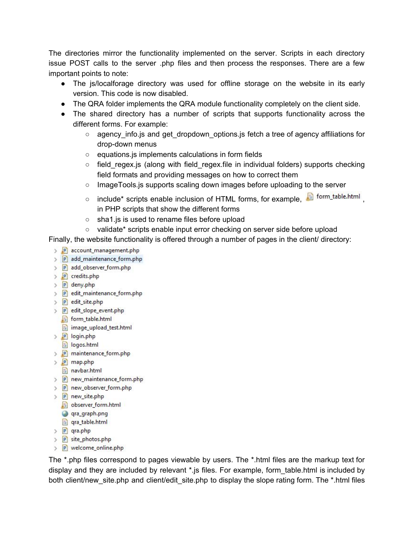The directories mirror the functionality implemented on the server. Scripts in each directory issue POST calls to the server .php files and then process the responses. There are a few important points to note:

- The js/localforage directory was used for offline storage on the website in its early version. This code is now disabled.
- The QRA folder implements the QRA module functionality completely on the client side.
- The shared directory has a number of scripts that supports functionality across the different forms. For example:
	- $\circ$  agency info. is and get dropdown options. is fetch a tree of agency affiliations for drop-down menus
	- equations.js implements calculations in form fields
	- $\circ$  field regex.js (along with field regex.file in individual folders) supports checking field formats and providing messages on how to correct them
	- ImageTools.js supports scaling down images before uploading to the server
	- o include\* scripts enable inclusion of HTML forms, for example, a form\_table.html in PHP scripts that show the different forms
	- sha1.js is used to rename files before upload
	- validate\* scripts enable input error checking on server side before upload

Finally, the website functionality is offered through a number of pages in the client/ directory:

- > P account management.php
- > P add\_maintenance\_form.php
- > P add\_observer\_form.php
- > P credits.php
- > P deny.php
- > P edit\_maintenance\_form.php
- > P edit\_site.php
- > P edit\_slope\_event.php
	- form\_table.html
	- image\_upload\_test.html
- $\frac{p}{p}$  login.php
- logos.html
- > p maintenance\_form.php
- > P map.php
- navbar.html
- > P new\_maintenance\_form.php
- > P new\_observer\_form.php
- > P new site.php
	- observer\_form.html
	- **O** gra\_graph.png
	- qra\_table.html
- > P qra.php
- > P site\_photos.php
- > P welcome\_online.php

The \*.php files correspond to pages viewable by users. The \*.html files are the markup text for display and they are included by relevant \*.js files. For example, form table.html is included by both client/new\_site.php and client/edit\_site.php to display the slope rating form. The \*.html files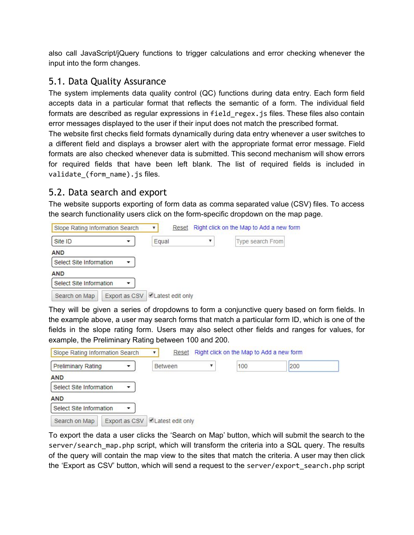also call JavaScript/jQuery functions to trigger calculations and error checking whenever the input into the form changes.

#### <span id="page-15-0"></span>5.1. Data Quality Assurance

The system implements data quality control (QC) functions during data entry. Each form field accepts data in a particular format that reflects the semantic of a form. The individual field formats are described as regular expressions in field regex.js files. These files also contain error messages displayed to the user if their input does not match the prescribed format.

The website first checks field formats dynamically during data entry whenever a user switches to a different field and displays a browser alert with the appropriate format error message. Field formats are also checked whenever data is submitted. This second mechanism will show errors for required fields that have been left blank. The list of required fields is included in validate\_(form\_name).js files.

#### <span id="page-15-1"></span>5.2. Data search and export

The website supports exporting of form data as comma separated value (CSV) files. To access the search functionality users click on the form-specific dropdown on the map page.

| Slope Rating Information Search | Reset            | Right click on the Map to Add a new form |
|---------------------------------|------------------|------------------------------------------|
| Site ID                         | Equal            | Type search From                         |
| <b>AND</b>                      |                  |                                          |
| Select Site Information         |                  |                                          |
| <b>AND</b>                      |                  |                                          |
| Select Site Information         |                  |                                          |
| Export as CSV<br>Search on Map  | Latest edit only |                                          |

They will be given a series of dropdowns to form a conjunctive query based on form fields. In the example above, a user may search forms that match a particular form ID, which is one of the fields in the slope rating form. Users may also select other fields and ranges for values, for example, the Preliminary Rating between 100 and 200.

| Slope Rating Information Search | Reset                          | Right click on the Map to Add a new form |     |     |
|---------------------------------|--------------------------------|------------------------------------------|-----|-----|
| <b>Preliminary Rating</b>       | <b>Between</b>                 |                                          | 100 | 200 |
| <b>AND</b>                      |                                |                                          |     |     |
| Select Site Information         |                                |                                          |     |     |
| <b>AND</b>                      |                                |                                          |     |     |
| Select Site Information<br>▼    |                                |                                          |     |     |
| Search on Map                   | Export as CSV Latest edit only |                                          |     |     |

To export the data a user clicks the 'Search on Map' button, which will submit the search to the server/search\_map.php script, which will transform the criteria into a SQL query. The results of the query will contain the map view to the sites that match the criteria. A user may then click the 'Export as CSV' button, which will send a request to the server/export\_search.php script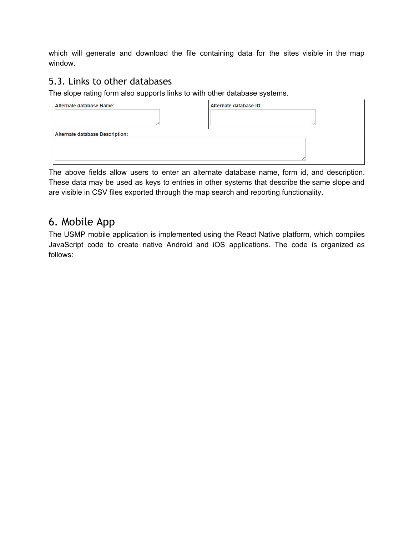which will generate and download the file containing data for the sites visible in the map window.

#### <span id="page-16-0"></span>5.3. Links to other databases

The slope rating form also supports links to with other database systems.

| Alternate database Name:        | Alternate database ID: |
|---------------------------------|------------------------|
|                                 |                        |
| Alternate database Description: |                        |
|                                 |                        |
|                                 |                        |

The above fields allow users to enter an alternate database name, form id, and description. These data may be used as keys to entries in other systems that describe the same slope and are visible in CSV files exported through the map search and reporting functionality.

## <span id="page-16-1"></span>6. Mobile App

The USMP mobile application is implemented using the React Native platform, which compiles JavaScript code to create native Android and iOS applications. The code is organized as follows: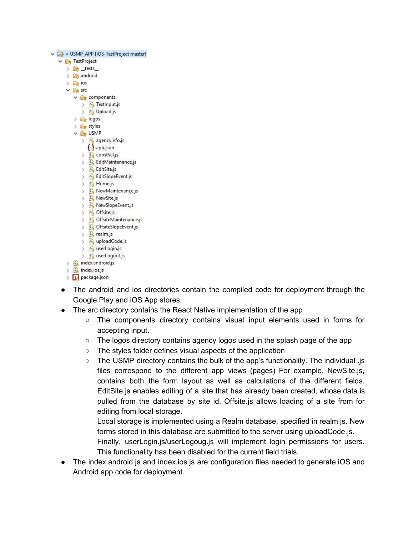|  |               |                           |               | v <a> USMP_APP [iOS-TestProject master]</a> |
|--|---------------|---------------------------|---------------|---------------------------------------------|
|  |               |                           |               | $\vee$ $\overline{C}$ TestProject           |
|  |               |                           |               | $\geq$ $\mathbb{Z}$ _tests_                 |
|  |               |                           |               | > <sub>android</sub>                        |
|  |               | $\sum$ $\sqrt{2}$ ios     |               |                                             |
|  |               | $\times$ $\mathbb{Z}$ src |               |                                             |
|  |               |                           |               | $\vee$ $\rightarrow$ components             |
|  |               |                           |               | > A Textinput.js                            |
|  |               |                           |               | > 4 Upload.js                               |
|  |               |                           |               | > <i>C</i> <sub>if</sub> logos              |
|  |               |                           |               | > <i>E</i> <sub>R</sub> styles              |
|  |               |                           |               | $\vee$ $\mathbb{C}$ USMP                    |
|  |               |                           |               | $\angle$ $\frac{d_1}{2}$ agencylnfo.js      |
|  |               |                           |               | $\{\}$ app.json                             |
|  |               |                           | >             | 图 constVal.js                               |
|  |               |                           | ž.            | <b>BR</b> EditMaintenance.js                |
|  |               |                           | X             | A EditSite.js                               |
|  |               |                           | $\mathcal{P}$ | B EditSlopeEvent.js                         |
|  |               |                           |               | $> 4$ Home.js                               |
|  |               |                           |               | > A NewMaintenance.js                       |
|  |               |                           |               | > P NewSite.js                              |
|  |               |                           |               | > B NewSlopeEvent.js                        |
|  |               |                           | $\geq$        | A Offsite.js                                |
|  |               |                           |               | > 4 OffsiteMaintenance.js                   |
|  |               |                           |               | > B OffsiteSlopeEvent.js                    |
|  |               |                           |               | $> 4$ realm.js                              |
|  |               |                           |               | > B uploadCode.js                           |
|  |               |                           |               | > B userLogin.js                            |
|  |               |                           | >             | <b>A</b> userLogout.js                      |
|  |               |                           |               | $>$ $\frac{R}{2}$ index.android.js          |
|  |               |                           |               | $\angle$ $\frac{1}{2}$ index.ios.js         |
|  | $\mathcal{P}$ |                           |               | <b>I<sub>F</sub></b> package.json           |

- The android and ios directories contain the compiled code for deployment through the Google Play and iOS App stores.
- The src directory contains the React Native implementation of the app
	- The components directory contains visual input elements used in forms for accepting input.
	- The logos directory contains agency logos used in the splash page of the app
	- The styles folder defines visual aspects of the application
	- The USMP directory contains the bulk of the app's functionality. The individual .js files correspond to the different app views (pages) For example, NewSite.js, contains both the form layout as well as calculations of the different fields. EditSite.js enables editing of a site that has already been created, whose data is pulled from the database by site id. Offsite.js allows loading of a site from for editing from local storage.

Local storage is implemented using a Realm database, specified in realm.js. New forms stored in this database are submitted to the server using uploadCode.js.

- Finally, userLogin.js/userLogoug.js will implement login permissions for users. This functionality has been disabled for the current field trials.
- The index.android.js and index.ios.js are configuration files needed to generate iOS and Android app code for deployment.